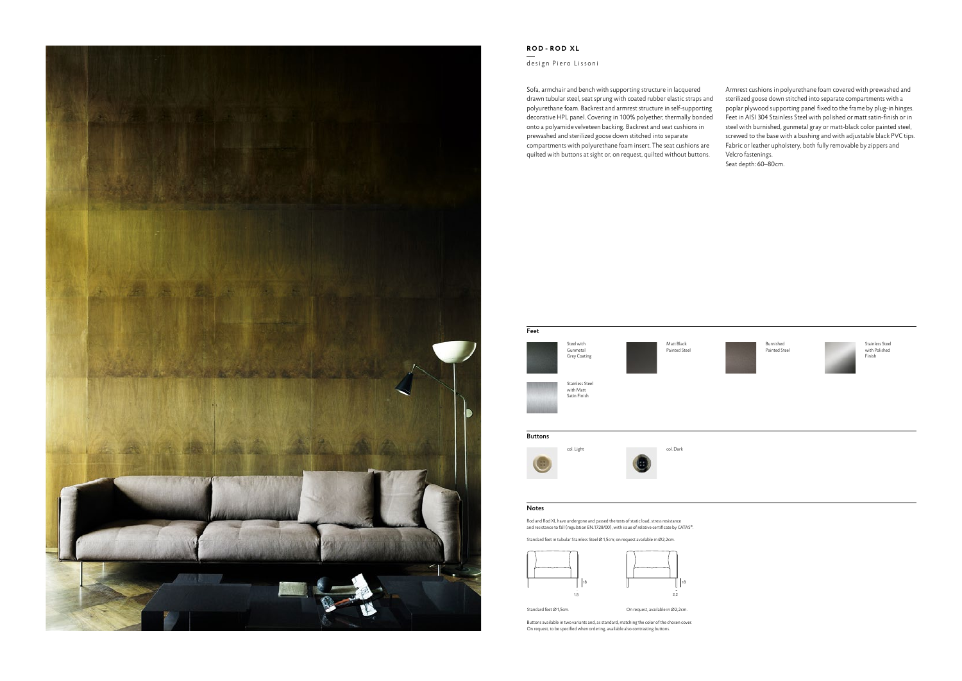

## **R O D  -  R O D X L**

## design Piero Lissoni

Sofa, armchair and bench with supporting structure in lacquered drawn tubular steel, seat sprung with coated rubber elastic straps and polyurethane foam. Backrest and armrest structure in self-supporting decorative HPL panel. Covering in 100% polyether, thermally bonded onto a polyamide velveteen backing. Backrest and seat cushions in prewashed and sterilized goose down stitched into separate compartments with polyurethane foam insert. The seat cushions are quilted with buttons at sight or, on request, quilted without buttons. Armrest cushions in polyurethane foam covered with prewashed and sterilized goose down stitched into separate compartments with a poplar plywood supporting panel fixed to the frame by plug-in hinges. Feet in AISI 304 Stainless Steel with polished or matt satin-finish or in steel with burnished, gunmetal gray or matt-black color painted steel, screwed to the base with a bushing and with adjustable black PVC tips. Fabric or leather upholstery, both fully removable by zippers and Velcro fastenings.

Seat depth: 60–80cm.



Rod and Rod XL have undergone and passed the tests of static load, stress resistance and resistance to fall (regulation EN.1728/00), with issue of relative certificate by CATAS®.

Standard feet in tubular Stainless Steel Ø1,5cm; on request available in Ø2,2cm.

Buttons available in two variants and, as standard, matching the color of the chosen cover. On request, to be specified when ordering, available also contrasting buttons.

## Notes

Stainless Steel with Polished Finish

Burnished Painted Steel







Standard feet Ø1,5cm. The Standard feet O1,5cm.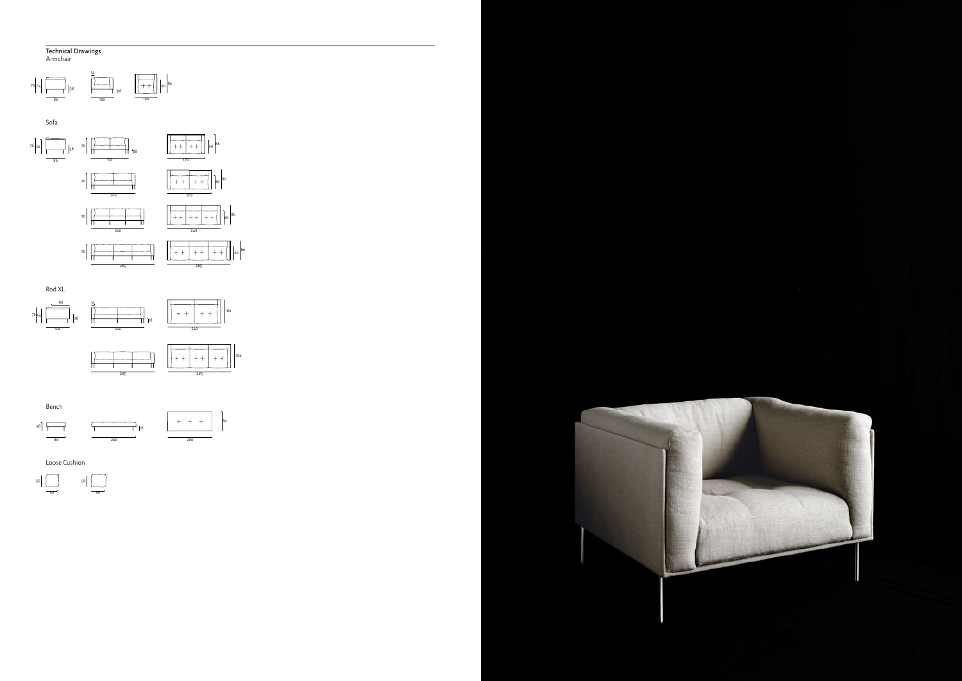Armchair Armchair Sofa

⊤ ┬ 



## Technical Drawings 86









Loose Cushion

 $\overline{1}$ 

Bench









5060

 $\frac{1}{\sqrt{1-\frac{1}{2}}}$